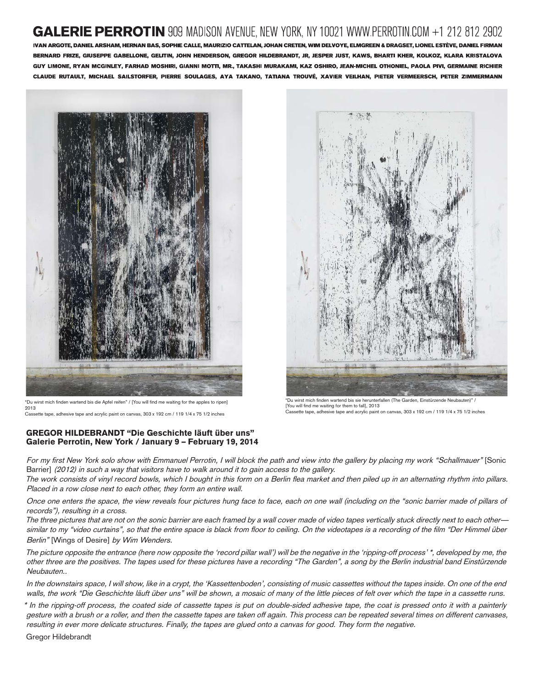# **GALERIE PERROTIN** 909 MADISON AVENUE. NEW YORK. NY 10021 WWW.PERROTIN.COM +1 212 812 2902

IVAN ARGOTE, DANIEL ARSHAM, HERNAN BAS, SOPHIE CALLE, MAURIZIO CATTELAN, JOHAN CRETEN, WIM DELVOYE, ELMGREEN & DRAGSET, LIONEL ESTÈVE, DANIEL FIRMAN BERNARD FRIZE, GIUSEPPE GABELLONE, GELITIN, JOHN HENDERSON, GREGOR HILDEBRANDT, JR, JESPER JUST, KAWS, BHARTI KHER, KOLKOZ, KLARA KRISTALOVA GUY LIMONE, RYAN MCGINLEY, FARHAD MOSHIRI, GIANNI MOTTI, MR., TAKASHI MURAKAMI, KAZ OSHIRO, JEAN-MICHEL OTHONIEL, PAOLA PIVI, GERMAINE RICHIER CLAUDE RUTAULT, MICHAEL SAILSTORFER, PIERRE SOULAGES, AYA TAKANO, TATIANA TROUVÉ, XAVIER VEILHAN, PIETER VERMEERSCH, PETER ZIMMERMANN



"Du wirst mich finden wartend bis die Apfel reifen" / [You will find me waiting for the apples to ripen] 2013 Cassette tape, adhesive tape and acrylic paint on canvas, 303 x 192 cm / 119 1/4 x 75 1/2 inches

## GREGOR HILDEBRANDT "Die Geschichte läuft über uns" Galerie Perrotin, New York / January 9 – February 19, 2014



"Du wirst mich finden wartend bis sie herunterfallen (The Garden, Einstürzende Neubauten)" / [You will find me waiting for them to fall], 2013 Cassette tape, adhesive tape and acrylic paint on canvas, 303 x 192 cm / 119 1/4 x 75 1/2 inches

For my first New York solo show with Emmanuel Perrotin, I will block the path and view into the gallery by placing my work "Schallmauer" [Sonic Barrier] (2012) in such a way that visitors have to walk around it to gain access to the gallery.

The work consists of vinyl record bowls, which I bought in this form on a Berlin flea market and then piled up in an alternating rhythm into pillars. Placed in a row close next to each other, they form an entire wall.

Once one enters the space, the view reveals four pictures hung face to face, each on one wall (including on the "sonic barrier made of pillars of records"), resulting in a cross.

The three pictures that are not on the sonic barrier are each framed by a wall cover made of video tapes vertically stuck directly next to each other similar to my "video curtains", so that the entire space is black from floor to ceiling. On the videotapes is a recording of the film "Der Himmel über Berlin" [Wings of Desire] by Wim Wenders.

The picture opposite the entrance (here now opposite the 'record pillar wall') will be the negative in the 'ripping-off process' \*, developed by me, the other three are the positives. The tapes used for these pictures have a recording "The Garden", a song by the Berlin industrial band Einstürzende Neubauten..

In the downstairs space, I will show, like in a crypt, the 'Kassettenboden', consisting of music cassettes without the tapes inside. On one of the end walls, the work "Die Geschichte läuft über uns" will be shown, a mosaic of many of the little pieces of felt over which the tape in a cassette runs.

\* In the ripping-off process, the coated side of cassette tapes is put on double-sided adhesive tape, the coat is pressed onto it with a painterly gesture with a brush or a roller, and then the cassette tapes are taken off again. This process can be repeated several times on different canvases, resulting in ever more delicate structures. Finally, the tapes are glued onto a canvas for good. They form the negative.

Gregor Hildebrandt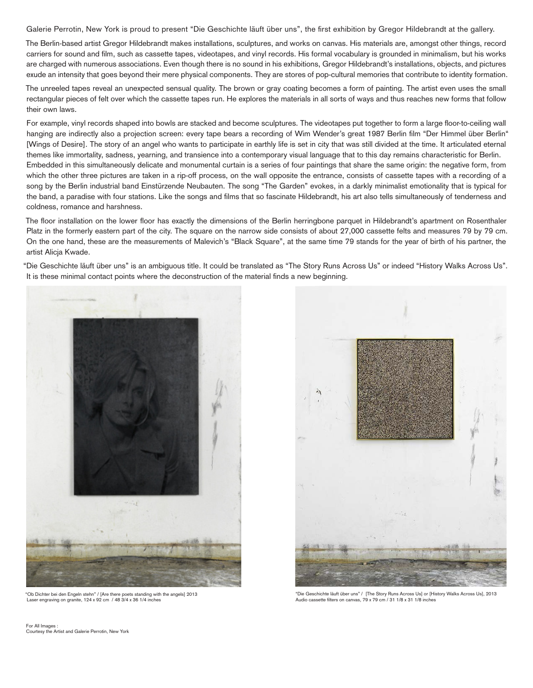Galerie Perrotin, New York is proud to present "Die Geschichte läuft über uns", the first exhibition by Gregor Hildebrandt at the gallery.

The Berlin-based artist Gregor Hildebrandt makes installations, sculptures, and works on canvas. His materials are, amongst other things, record carriers for sound and film, such as cassette tapes, videotapes, and vinyl records. His formal vocabulary is grounded in minimalism, but his works are charged with numerous associations. Even though there is no sound in his exhibitions, Gregor Hildebrandt's installations, objects, and pictures exude an intensity that goes beyond their mere physical components. They are stores of pop-cultural memories that contribute to identity formation.

The unreeled tapes reveal an unexpected sensual quality. The brown or gray coating becomes a form of painting. The artist even uses the small rectangular pieces of felt over which the cassette tapes run. He explores the materials in all sorts of ways and thus reaches new forms that follow their own laws.

For example, vinyl records shaped into bowls are stacked and become sculptures. The videotapes put together to form a large floor-to-ceiling wall hanging are indirectly also a projection screen: every tape bears a recording of Wim Wender's great 1987 Berlin film "Der Himmel über Berlin" [Wings of Desire]. The story of an angel who wants to participate in earthly life is set in city that was still divided at the time. It articulated eternal themes like immortality, sadness, yearning, and transience into a contemporary visual language that to this day remains characteristic for Berlin. Embedded in this simultaneously delicate and monumental curtain is a series of four paintings that share the same origin: the negative form, from which the other three pictures are taken in a rip-off process, on the wall opposite the entrance, consists of cassette tapes with a recording of a song by the Berlin industrial band Einstürzende Neubauten. The song "The Garden" evokes, in a darkly minimalist emotionality that is typical for the band, a paradise with four stations. Like the songs and films that so fascinate Hildebrandt, his art also tells simultaneously of tenderness and coldness, romance and harshness.

The floor installation on the lower floor has exactly the dimensions of the Berlin herringbone parquet in Hildebrandt's apartment on Rosenthaler Platz in the formerly eastern part of the city. The square on the narrow side consists of about 27,000 cassette felts and measures 79 by 79 cm. On the one hand, these are the measurements of Malevich's "Black Square", at the same time 79 stands for the year of birth of his partner, the artist Alicja Kwade.

"Die Geschichte läuft über uns" is an ambiguous title. It could be translated as "The Story Runs Across Us" or indeed "History Walks Across Us". It is these minimal contact points where the deconstruction of the material finds a new beginning.



"Ob Dichter bei den Engeln stehn" / [Are there poets standing with the angels] 2013 Laser engraving on granite, 124 x 92 cm / 48 3/4 x 36 1/4 inches



"Die Geschichte läuft über uns" / [The Story Runs Across Us] or [History Walks Across Us], 2013 Audio cassette filters on canvas, 79 x 79 cm / 31 1/8 x 31 1/8 inches